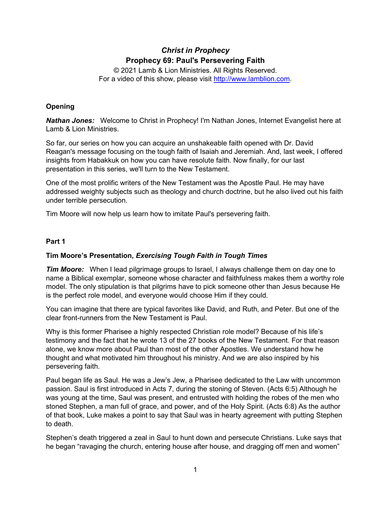# *Christ in Prophecy* **Prophecy 69: Paul's Persevering Faith**

© 2021 Lamb & Lion Ministries. All Rights Reserved. For a video of this show, please visit [http://www.lamblion.com.](http://www.lamblion.com/)

# **Opening**

*Nathan Jones:* Welcome to Christ in Prophecy! I'm Nathan Jones, Internet Evangelist here at Lamb & Lion Ministries.

So far, our series on how you can acquire an unshakeable faith opened with Dr. David Reagan's message focusing on the tough faith of Isaiah and Jeremiah. And, last week, I offered insights from Habakkuk on how you can have resolute faith. Now finally, for our last presentation in this series, we'll turn to the New Testament.

One of the most prolific writers of the New Testament was the Apostle Paul. He may have addressed weighty subjects such as theology and church doctrine, but he also lived out his faith under terrible persecution.

Tim Moore will now help us learn how to imitate Paul's persevering faith.

#### **Part 1**

### **Tim Moore's Presentation,** *Exercising Tough Faith in Tough Times*

*Tim Moore:* When I lead pilgrimage groups to Israel, I always challenge them on day one to name a Biblical exemplar, someone whose character and faithfulness makes them a worthy role model. The only stipulation is that pilgrims have to pick someone other than Jesus because He is the perfect role model, and everyone would choose Him if they could.

You can imagine that there are typical favorites like David, and Ruth, and Peter. But one of the clear front-runners from the New Testament is Paul.

Why is this former Pharisee a highly respected Christian role model? Because of his life's testimony and the fact that he wrote 13 of the 27 books of the New Testament. For that reason alone, we know more about Paul than most of the other Apostles. We understand how he thought and what motivated him throughout his ministry. And we are also inspired by his persevering faith.

Paul began life as Saul. He was a Jew's Jew, a Pharisee dedicated to the Law with uncommon passion. Saul is first introduced in Acts 7, during the stoning of Steven. (Acts 6:5) Although he was young at the time, Saul was present, and entrusted with holding the robes of the men who stoned Stephen, a man full of grace, and power, and of the Holy Spirit. (Acts 6:8) As the author of that book, Luke makes a point to say that Saul was in hearty agreement with putting Stephen to death.

Stephen's death triggered a zeal in Saul to hunt down and persecute Christians. Luke says that he began "ravaging the church, entering house after house, and dragging off men and women"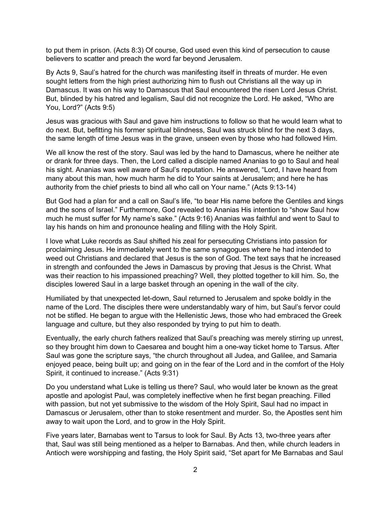to put them in prison. (Acts 8:3) Of course, God used even this kind of persecution to cause believers to scatter and preach the word far beyond Jerusalem.

By Acts 9, Saul's hatred for the church was manifesting itself in threats of murder. He even sought letters from the high priest authorizing him to flush out Christians all the way up in Damascus. It was on his way to Damascus that Saul encountered the risen Lord Jesus Christ. But, blinded by his hatred and legalism, Saul did not recognize the Lord. He asked, "Who are You, Lord?" (Acts 9:5)

Jesus was gracious with Saul and gave him instructions to follow so that he would learn what to do next. But, befitting his former spiritual blindness, Saul was struck blind for the next 3 days, the same length of time Jesus was in the grave, unseen even by those who had followed Him.

We all know the rest of the story. Saul was led by the hand to Damascus, where he neither ate or drank for three days. Then, the Lord called a disciple named Ananias to go to Saul and heal his sight. Ananias was well aware of Saul's reputation. He answered, "Lord, I have heard from many about this man, how much harm he did to Your saints at Jerusalem; and here he has authority from the chief priests to bind all who call on Your name." (Acts 9:13-14)

But God had a plan for and a call on Saul's life, "to bear His name before the Gentiles and kings and the sons of Israel." Furthermore, God revealed to Ananias His intention to "show Saul how much he must suffer for My name's sake." (Acts 9:16) Ananias was faithful and went to Saul to lay his hands on him and pronounce healing and filling with the Holy Spirit.

I love what Luke records as Saul shifted his zeal for persecuting Christians into passion for proclaiming Jesus. He immediately went to the same synagogues where he had intended to weed out Christians and declared that Jesus is the son of God. The text says that he increased in strength and confounded the Jews in Damascus by proving that Jesus is the Christ. What was their reaction to his impassioned preaching? Well, they plotted together to kill him. So, the disciples lowered Saul in a large basket through an opening in the wall of the city.

Humiliated by that unexpected let-down, Saul returned to Jerusalem and spoke boldly in the name of the Lord. The disciples there were understandably wary of him, but Saul's fervor could not be stifled. He began to argue with the Hellenistic Jews, those who had embraced the Greek language and culture, but they also responded by trying to put him to death.

Eventually, the early church fathers realized that Saul's preaching was merely stirring up unrest, so they brought him down to Caesarea and bought him a one-way ticket home to Tarsus. After Saul was gone the scripture says, "the church throughout all Judea, and Galilee, and Samaria enjoyed peace, being built up; and going on in the fear of the Lord and in the comfort of the Holy Spirit, it continued to increase." (Acts 9:31)

Do you understand what Luke is telling us there? Saul, who would later be known as the great apostle and apologist Paul, was completely ineffective when he first began preaching. Filled with passion, but not yet submissive to the wisdom of the Holy Spirit, Saul had no impact in Damascus or Jerusalem, other than to stoke resentment and murder. So, the Apostles sent him away to wait upon the Lord, and to grow in the Holy Spirit.

Five years later, Barnabas went to Tarsus to look for Saul. By Acts 13, two-three years after that, Saul was still being mentioned as a helper to Barnabas. And then, while church leaders in Antioch were worshipping and fasting, the Holy Spirit said, "Set apart for Me Barnabas and Saul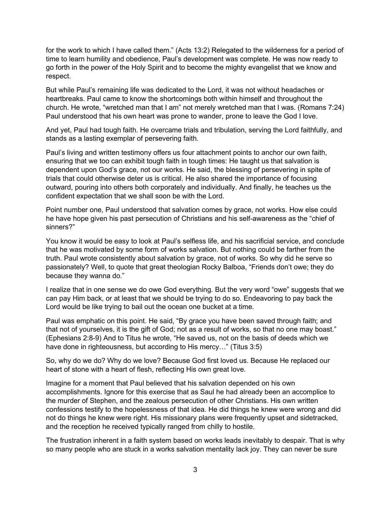for the work to which I have called them." (Acts 13:2) Relegated to the wilderness for a period of time to learn humility and obedience, Paul's development was complete. He was now ready to go forth in the power of the Holy Spirit and to become the mighty evangelist that we know and respect.

But while Paul's remaining life was dedicated to the Lord, it was not without headaches or heartbreaks. Paul came to know the shortcomings both within himself and throughout the church. He wrote, "wretched man that I am" not merely wretched man that I was. (Romans 7:24) Paul understood that his own heart was prone to wander, prone to leave the God I love.

And yet, Paul had tough faith. He overcame trials and tribulation, serving the Lord faithfully, and stands as a lasting exemplar of persevering faith.

Paul's living and written testimony offers us four attachment points to anchor our own faith, ensuring that we too can exhibit tough faith in tough times: He taught us that salvation is dependent upon God's grace, not our works. He said, the blessing of persevering in spite of trials that could otherwise deter us is critical. He also shared the importance of focusing outward, pouring into others both corporately and individually. And finally, he teaches us the confident expectation that we shall soon be with the Lord.

Point number one, Paul understood that salvation comes by grace, not works. How else could he have hope given his past persecution of Christians and his self-awareness as the "chief of sinners?"

You know it would be easy to look at Paul's selfless life, and his sacrificial service, and conclude that he was motivated by some form of works salvation. But nothing could be farther from the truth. Paul wrote consistently about salvation by grace, not of works. So why did he serve so passionately? Well, to quote that great theologian Rocky Balboa, "Friends don't owe; they do because they wanna do."

I realize that in one sense we do owe God everything. But the very word "owe" suggests that we can pay Him back, or at least that we should be trying to do so. Endeavoring to pay back the Lord would be like trying to bail out the ocean one bucket at a time.

Paul was emphatic on this point. He said, "By grace you have been saved through faith; and that not of yourselves, it is the gift of God; not as a result of works, so that no one may boast." (Ephesians 2:8-9) And to Titus he wrote, "He saved us, not on the basis of deeds which we have done in righteousness, but according to His mercy…" (Titus 3:5)

So, why do we do? Why do we love? Because God first loved us. Because He replaced our heart of stone with a heart of flesh, reflecting His own great love.

Imagine for a moment that Paul believed that his salvation depended on his own accomplishments. Ignore for this exercise that as Saul he had already been an accomplice to the murder of Stephen, and the zealous persecution of other Christians. His own written confessions testify to the hopelessness of that idea. He did things he knew were wrong and did not do things he knew were right. His missionary plans were frequently upset and sidetracked, and the reception he received typically ranged from chilly to hostile.

The frustration inherent in a faith system based on works leads inevitably to despair. That is why so many people who are stuck in a works salvation mentality lack joy. They can never be sure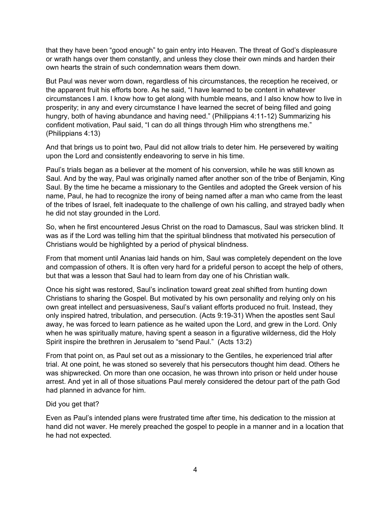that they have been "good enough" to gain entry into Heaven. The threat of God's displeasure or wrath hangs over them constantly, and unless they close their own minds and harden their own hearts the strain of such condemnation wears them down.

But Paul was never worn down, regardless of his circumstances, the reception he received, or the apparent fruit his efforts bore. As he said, "I have learned to be content in whatever circumstances I am. I know how to get along with humble means, and I also know how to live in prosperity; in any and every circumstance I have learned the secret of being filled and going hungry, both of having abundance and having need." (Philippians 4:11-12) Summarizing his confident motivation, Paul said, "I can do all things through Him who strengthens me." (Philippians 4:13)

And that brings us to point two, Paul did not allow trials to deter him. He persevered by waiting upon the Lord and consistently endeavoring to serve in his time.

Paul's trials began as a believer at the moment of his conversion, while he was still known as Saul. And by the way, Paul was originally named after another son of the tribe of Benjamin, King Saul. By the time he became a missionary to the Gentiles and adopted the Greek version of his name, Paul, he had to recognize the irony of being named after a man who came from the least of the tribes of Israel, felt inadequate to the challenge of own his calling, and strayed badly when he did not stay grounded in the Lord.

So, when he first encountered Jesus Christ on the road to Damascus, Saul was stricken blind. It was as if the Lord was telling him that the spiritual blindness that motivated his persecution of Christians would be highlighted by a period of physical blindness.

From that moment until Ananias laid hands on him, Saul was completely dependent on the love and compassion of others. It is often very hard for a prideful person to accept the help of others, but that was a lesson that Saul had to learn from day one of his Christian walk.

Once his sight was restored, Saul's inclination toward great zeal shifted from hunting down Christians to sharing the Gospel. But motivated by his own personality and relying only on his own great intellect and persuasiveness, Saul's valiant efforts produced no fruit. Instead, they only inspired hatred, tribulation, and persecution. (Acts 9:19-31) When the apostles sent Saul away, he was forced to learn patience as he waited upon the Lord, and grew in the Lord. Only when he was spiritually mature, having spent a season in a figurative wilderness, did the Holy Spirit inspire the brethren in Jerusalem to "send Paul." (Acts 13:2)

From that point on, as Paul set out as a missionary to the Gentiles, he experienced trial after trial. At one point, he was stoned so severely that his persecutors thought him dead. Others he was shipwrecked. On more than one occasion, he was thrown into prison or held under house arrest. And yet in all of those situations Paul merely considered the detour part of the path God had planned in advance for him.

#### Did you get that?

Even as Paul's intended plans were frustrated time after time, his dedication to the mission at hand did not waver. He merely preached the gospel to people in a manner and in a location that he had not expected.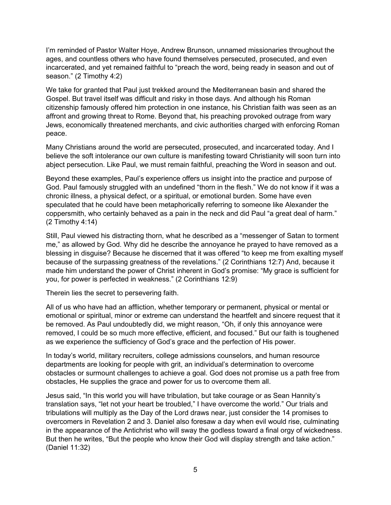I'm reminded of Pastor Walter Hoye, Andrew Brunson, unnamed missionaries throughout the ages, and countless others who have found themselves persecuted, prosecuted, and even incarcerated, and yet remained faithful to "preach the word, being ready in season and out of season." (2 Timothy 4:2)

We take for granted that Paul just trekked around the Mediterranean basin and shared the Gospel. But travel itself was difficult and risky in those days. And although his Roman citizenship famously offered him protection in one instance, his Christian faith was seen as an affront and growing threat to Rome. Beyond that, his preaching provoked outrage from wary Jews, economically threatened merchants, and civic authorities charged with enforcing Roman peace.

Many Christians around the world are persecuted, prosecuted, and incarcerated today. And I believe the soft intolerance our own culture is manifesting toward Christianity will soon turn into abject persecution. Like Paul, we must remain faithful, preaching the Word in season and out.

Beyond these examples, Paul's experience offers us insight into the practice and purpose of God. Paul famously struggled with an undefined "thorn in the flesh." We do not know if it was a chronic illness, a physical defect, or a spiritual, or emotional burden. Some have even speculated that he could have been metaphorically referring to someone like Alexander the coppersmith, who certainly behaved as a pain in the neck and did Paul "a great deal of harm." (2 Timothy 4:14)

Still, Paul viewed his distracting thorn, what he described as a "messenger of Satan to torment me," as allowed by God. Why did he describe the annoyance he prayed to have removed as a blessing in disguise? Because he discerned that it was offered "to keep me from exalting myself because of the surpassing greatness of the revelations." (2 Corinthians 12:7) And, because it made him understand the power of Christ inherent in God's promise: "My grace is sufficient for you, for power is perfected in weakness." (2 Corinthians 12:9)

Therein lies the secret to persevering faith.

All of us who have had an affliction, whether temporary or permanent, physical or mental or emotional or spiritual, minor or extreme can understand the heartfelt and sincere request that it be removed. As Paul undoubtedly did, we might reason, "Oh, if only this annoyance were removed, I could be so much more effective, efficient, and focused." But our faith is toughened as we experience the sufficiency of God's grace and the perfection of His power.

In today's world, military recruiters, college admissions counselors, and human resource departments are looking for people with grit, an individual's determination to overcome obstacles or surmount challenges to achieve a goal. God does not promise us a path free from obstacles, He supplies the grace and power for us to overcome them all.

Jesus said, "In this world you will have tribulation, but take courage or as Sean Hannity's translation says, "let not your heart be troubled," I have overcome the world." Our trials and tribulations will multiply as the Day of the Lord draws near, just consider the 14 promises to overcomers in Revelation 2 and 3. Daniel also foresaw a day when evil would rise, culminating in the appearance of the Antichrist who will sway the godless toward a final orgy of wickedness. But then he writes, "But the people who know their God will display strength and take action." (Daniel 11:32)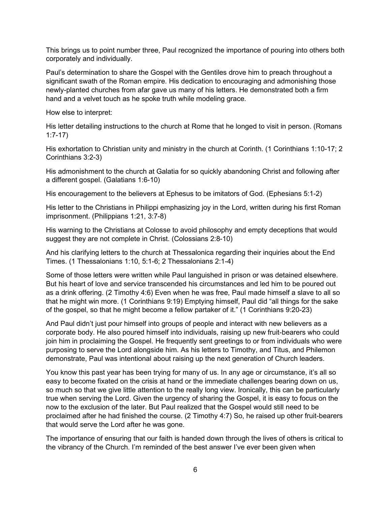This brings us to point number three, Paul recognized the importance of pouring into others both corporately and individually.

Paul's determination to share the Gospel with the Gentiles drove him to preach throughout a significant swath of the Roman empire. His dedication to encouraging and admonishing those newly-planted churches from afar gave us many of his letters. He demonstrated both a firm hand and a velvet touch as he spoke truth while modeling grace.

How else to interpret:

His letter detailing instructions to the church at Rome that he longed to visit in person. (Romans 1:7-17)

His exhortation to Christian unity and ministry in the church at Corinth. (1 Corinthians 1:10-17; 2 Corinthians 3:2-3)

His admonishment to the church at Galatia for so quickly abandoning Christ and following after a different gospel. (Galatians 1:6-10)

His encouragement to the believers at Ephesus to be imitators of God. (Ephesians 5:1-2)

His letter to the Christians in Philippi emphasizing joy in the Lord, written during his first Roman imprisonment. (Philippians 1:21, 3:7-8)

His warning to the Christians at Colosse to avoid philosophy and empty deceptions that would suggest they are not complete in Christ. (Colossians 2:8-10)

And his clarifying letters to the church at Thessalonica regarding their inquiries about the End Times. (1 Thessalonians 1:10, 5:1-6; 2 Thessalonians 2:1-4)

Some of those letters were written while Paul languished in prison or was detained elsewhere. But his heart of love and service transcended his circumstances and led him to be poured out as a drink offering. (2 Timothy 4:6) Even when he was free, Paul made himself a slave to all so that he might win more. (1 Corinthians 9:19) Emptying himself, Paul did "all things for the sake of the gospel, so that he might become a fellow partaker of it." (1 Corinthians 9:20-23)

And Paul didn't just pour himself into groups of people and interact with new believers as a corporate body. He also poured himself into individuals, raising up new fruit-bearers who could join him in proclaiming the Gospel. He frequently sent greetings to or from individuals who were purposing to serve the Lord alongside him. As his letters to Timothy, and Titus, and Philemon demonstrate, Paul was intentional about raising up the next generation of Church leaders.

You know this past year has been trying for many of us. In any age or circumstance, it's all so easy to become fixated on the crisis at hand or the immediate challenges bearing down on us, so much so that we give little attention to the really long view. Ironically, this can be particularly true when serving the Lord. Given the urgency of sharing the Gospel, it is easy to focus on the now to the exclusion of the later. But Paul realized that the Gospel would still need to be proclaimed after he had finished the course. (2 Timothy 4:7) So, he raised up other fruit-bearers that would serve the Lord after he was gone.

The importance of ensuring that our faith is handed down through the lives of others is critical to the vibrancy of the Church. I'm reminded of the best answer I've ever been given when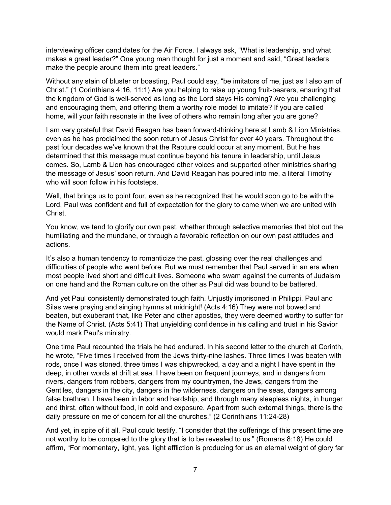interviewing officer candidates for the Air Force. I always ask, "What is leadership, and what makes a great leader?" One young man thought for just a moment and said, "Great leaders make the people around them into great leaders."

Without any stain of bluster or boasting, Paul could say, "be imitators of me, just as I also am of Christ." (1 Corinthians 4:16, 11:1) Are you helping to raise up young fruit-bearers, ensuring that the kingdom of God is well-served as long as the Lord stays His coming? Are you challenging and encouraging them, and offering them a worthy role model to imitate? If you are called home, will your faith resonate in the lives of others who remain long after you are gone?

I am very grateful that David Reagan has been forward-thinking here at Lamb & Lion Ministries, even as he has proclaimed the soon return of Jesus Christ for over 40 years. Throughout the past four decades we've known that the Rapture could occur at any moment. But he has determined that this message must continue beyond his tenure in leadership, until Jesus comes. So, Lamb & Lion has encouraged other voices and supported other ministries sharing the message of Jesus' soon return. And David Reagan has poured into me, a literal Timothy who will soon follow in his footsteps.

Well, that brings us to point four, even as he recognized that he would soon go to be with the Lord, Paul was confident and full of expectation for the glory to come when we are united with Christ.

You know, we tend to glorify our own past, whether through selective memories that blot out the humiliating and the mundane, or through a favorable reflection on our own past attitudes and actions.

It's also a human tendency to romanticize the past, glossing over the real challenges and difficulties of people who went before. But we must remember that Paul served in an era when most people lived short and difficult lives. Someone who swam against the currents of Judaism on one hand and the Roman culture on the other as Paul did was bound to be battered.

And yet Paul consistently demonstrated tough faith. Unjustly imprisoned in Philippi, Paul and Silas were praying and singing hymns at midnight! (Acts 4:16) They were not bowed and beaten, but exuberant that, like Peter and other apostles, they were deemed worthy to suffer for the Name of Christ. (Acts 5:41) That unyielding confidence in his calling and trust in his Savior would mark Paul's ministry.

One time Paul recounted the trials he had endured. In his second letter to the church at Corinth, he wrote, "Five times I received from the Jews thirty-nine lashes. Three times I was beaten with rods, once I was stoned, three times I was shipwrecked, a day and a night I have spent in the deep, in other words at drift at sea. I have been on frequent journeys, and in dangers from rivers, dangers from robbers, dangers from my countrymen, the Jews, dangers from the Gentiles, dangers in the city, dangers in the wilderness, dangers on the seas, dangers among false brethren. I have been in labor and hardship, and through many sleepless nights, in hunger and thirst, often without food, in cold and exposure. Apart from such external things, there is the daily pressure on me of concern for all the churches." (2 Corinthians 11:24-28)

And yet, in spite of it all, Paul could testify, "I consider that the sufferings of this present time are not worthy to be compared to the glory that is to be revealed to us." (Romans 8:18) He could affirm, "For momentary, light, yes, light affliction is producing for us an eternal weight of glory far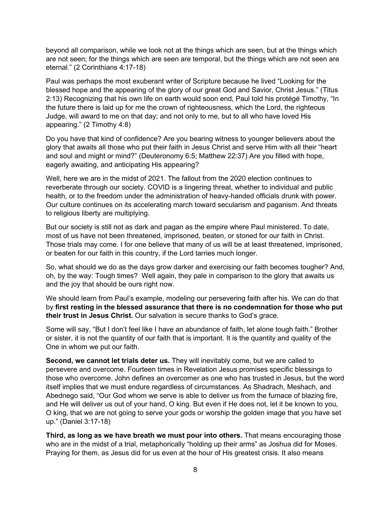beyond all comparison, while we look not at the things which are seen, but at the things which are not seen; for the things which are seen are temporal, but the things which are not seen are eternal." (2 Corinthians 4:17-18)

Paul was perhaps the most exuberant writer of Scripture because he lived "Looking for the blessed hope and the appearing of the glory of our great God and Savior, Christ Jesus." (Titus 2:13) Recognizing that his own life on earth would soon end, Paul told his protégé Timothy, "In the future there is laid up for me the crown of righteousness, which the Lord, the righteous Judge, will award to me on that day; and not only to me, but to all who have loved His appearing." (2 Timothy 4:8)

Do you have that kind of confidence? Are you bearing witness to younger believers about the glory that awaits all those who put their faith in Jesus Christ and serve Him with all their "heart and soul and might or mind?" (Deuteronomy 6:5; Matthew 22:37) Are you filled with hope, eagerly awaiting, and anticipating His appearing?

Well, here we are in the midst of 2021. The fallout from the 2020 election continues to reverberate through our society. COVID is a lingering threat, whether to individual and public health, or to the freedom under the administration of heavy-handed officials drunk with power. Our culture continues on its accelerating march toward secularism and paganism. And threats to religious liberty are multiplying.

But our society is still not as dark and pagan as the empire where Paul ministered. To date, most of us have not been threatened, imprisoned, beaten, or stoned for our faith in Christ. Those trials may come. I for one believe that many of us will be at least threatened, imprisoned, or beaten for our faith in this country, if the Lord tarries much longer.

So, what should we do as the days grow darker and exercising our faith becomes tougher? And, oh, by the way: Tough times? Well again, they pale in comparison to the glory that awaits us and the joy that should be ours right now.

We should learn from Paul's example, modeling our persevering faith after his. We can do that by **first resting in the blessed assurance that there is no condemnation for those who put their trust in Jesus Christ.** Our salvation is secure thanks to God's grace.

Some will say, "But I don't feel like I have an abundance of faith, let alone tough faith." Brother or sister, it is not the quantity of our faith that is important. It is the quantity and quality of the One in whom we put our faith.

**Second, we cannot let trials deter us.** They will inevitably come, but we are called to persevere and overcome. Fourteen times in Revelation Jesus promises specific blessings to those who overcome. John defines an overcomer as one who has trusted in Jesus, but the word itself implies that we must endure regardless of circumstances. As Shadrach, Meshach, and Abednego said, "Our God whom we serve is able to deliver us from the furnace of blazing fire, and He will deliver us out of your hand, O king. But even if He does not, let it be known to you, O king, that we are not going to serve your gods or worship the golden image that you have set up." (Daniel 3:17-18)

**Third, as long as we have breath we must pour into others.** That means encouraging those who are in the midst of a trial, metaphorically "holding up their arms" as Joshua did for Moses. Praying for them, as Jesus did for us even at the hour of His greatest crisis. It also means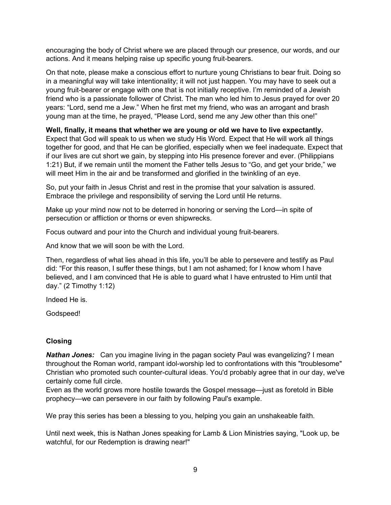encouraging the body of Christ where we are placed through our presence, our words, and our actions. And it means helping raise up specific young fruit-bearers.

On that note, please make a conscious effort to nurture young Christians to bear fruit. Doing so in a meaningful way will take intentionality; it will not just happen. You may have to seek out a young fruit-bearer or engage with one that is not initially receptive. I'm reminded of a Jewish friend who is a passionate follower of Christ. The man who led him to Jesus prayed for over 20 years: "Lord, send me a Jew." When he first met my friend, who was an arrogant and brash young man at the time, he prayed, "Please Lord, send me any Jew other than this one!"

**Well, finally, it means that whether we are young or old we have to live expectantly.**

Expect that God will speak to us when we study His Word. Expect that He will work all things together for good, and that He can be glorified, especially when we feel inadequate. Expect that if our lives are cut short we gain, by stepping into His presence forever and ever. (Philippians 1:21) But, if we remain until the moment the Father tells Jesus to "Go, and get your bride," we will meet Him in the air and be transformed and glorified in the twinkling of an eye.

So, put your faith in Jesus Christ and rest in the promise that your salvation is assured. Embrace the privilege and responsibility of serving the Lord until He returns.

Make up your mind now not to be deterred in honoring or serving the Lord—in spite of persecution or affliction or thorns or even shipwrecks.

Focus outward and pour into the Church and individual young fruit-bearers.

And know that we will soon be with the Lord.

Then, regardless of what lies ahead in this life, you'll be able to persevere and testify as Paul did: "For this reason, I suffer these things, but I am not ashamed; for I know whom I have believed, and I am convinced that He is able to guard what I have entrusted to Him until that day." (2 Timothy 1:12)

Indeed He is.

Godspeed!

## **Closing**

*Nathan Jones:* Can you imagine living in the pagan society Paul was evangelizing? I mean throughout the Roman world, rampant idol-worship led to confrontations with this "troublesome" Christian who promoted such counter-cultural ideas. You'd probably agree that in our day, we've certainly come full circle.

Even as the world grows more hostile towards the Gospel message—just as foretold in Bible prophecy—we can persevere in our faith by following Paul's example.

We pray this series has been a blessing to you, helping you gain an unshakeable faith.

Until next week, this is Nathan Jones speaking for Lamb & Lion Ministries saying, "Look up, be watchful, for our Redemption is drawing near!"